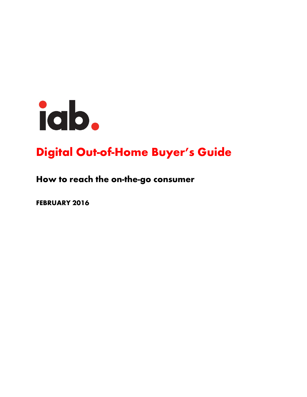

# Digital Out-of-Home Buyer's Guide

## How to reach the on-the-go consumer

FEBRUARY 2016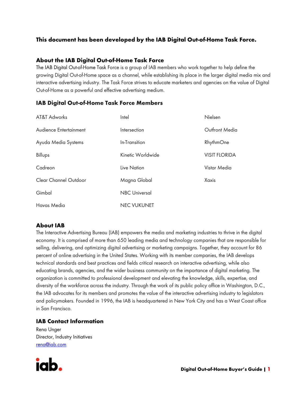### This document has been developed by the IAB Digital Out-of-Home Task Force.

#### About the IAB Digital Out-of-Home Task Force

The IAB Digital Out-of-Home Task Force is a group of IAB members who work together to help define the growing Digital Out-of-Home space as a channel, while establishing its place in the larger digital media mix and interactive advertising industry. The Task Force strives to educate marketers and agencies on the value of Digital Out-of-Home as a powerful and effective advertising medium.

#### IAB Digital Out-of-Home Task Force Members

| AT&T Adworks           | Intel                | Nielsen              |
|------------------------|----------------------|----------------------|
| Audience Entertainment | Intersection         | Outfront Media       |
| Ayuda Media Systems    | In-Transition        | RhythmOne            |
| Billups                | Kinetic Worldwide    | <b>VISIT FLORIDA</b> |
| Cadreon                | Live Nation          | Vistar Media         |
| Clear Channel Outdoor  | Magna Global         | Xaxis                |
| Gimbal                 | <b>NBC Universal</b> |                      |
| Havas Media            | <b>NEC VUKUNET</b>   |                      |

#### About IAB

The Interactive Advertising Bureau (IAB) empowers the media and marketing industries to thrive in the digital economy. It is comprised of more than 650 leading media and technology companies that are responsible for selling, delivering, and optimizing digital advertising or marketing campaigns. Together, they account for 86 percent of online advertising in the United States. Working with its member companies, the IAB develops technical standards and best practices and fields critical research on interactive advertising, while also educating brands, agencies, and the wider business community on the importance of digital marketing. The organization is committed to professional development and elevating the knowledge, skills, expertise, and diversity of the workforce across the industry. Through the work of its public policy office in Washington, D.C., the IAB advocates for its members and promotes the value of the interactive advertising industry to legislators and policymakers. Founded in 1996, the IAB is headquartered in New York City and has a West Coast office in San Francisco.

#### IAB Contact Information

Rena Unger Director, Industry Initiatives [rena@iab.com](mailto:rena@iab.com)

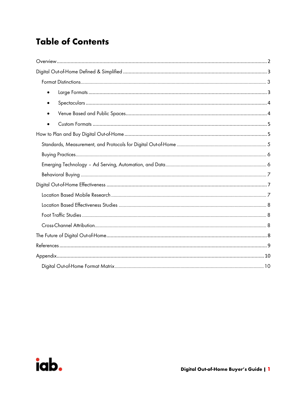## **Table of Contents**

| $\bullet$ |  |  |  |  |
|-----------|--|--|--|--|
|           |  |  |  |  |
|           |  |  |  |  |
|           |  |  |  |  |
|           |  |  |  |  |
|           |  |  |  |  |
|           |  |  |  |  |
|           |  |  |  |  |
|           |  |  |  |  |
|           |  |  |  |  |
|           |  |  |  |  |
|           |  |  |  |  |
|           |  |  |  |  |
|           |  |  |  |  |
|           |  |  |  |  |
|           |  |  |  |  |

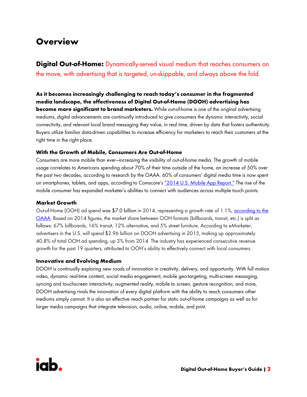## <span id="page-3-0"></span>**Overview**

**Digital Out-of-Home:** Dynamically-served visual medium that reaches consumers on the move, with advertising that is targeted, un-skippable, and always above the fold.

As it becomes increasingly challenging to reach today's consumer in the fragmented media landscape, the effectiveness of Digital Out-of-Home (DOOH) advertising has **become more significant to brand marketers.** While out-of-home is one of the original advertising mediums, digital advancements are continually introduced to give consumers the dynamic interactivity, social connectivity, and relevant local brand messaging they value, in real time, driven by data that fosters authenticity. Buyers utilize familiar data-driven capabilities to increase efficiency for marketers to reach their customers at the right time in the right place.

#### With the Growth of Mobile, Consumers Are Out-of-Home

Consumers are more mobile than ever—increasing the visibility of out-of-home media. The growth of mobile usage correlates to Americans spending about 70% of their time outside of the home, an increase of 50% over the past two decades, according to research by the OAAA. 60% of consumers' digital media time is now spent on smartphones, tablets, and apps, according to Comscore's ["2014 U.S. Mobile App Report."](http://www.comscore.com/Insights/Presentations-and-Whitepapers/2014/The-US-Mobile-App-Report) The rise of the mobile consumer has expanded marketer's abilities to connect with audiences across multiple touch points.

#### Market Growth

Out-of-Home (OOH) ad spend was \$7[.0](http://www.oaaa.org/ResourceCenter/MarketingSales/Factsamp;Figures/Revenue/OOHRevenuebyFormat.aspx) billion in 2014, representing a growth rate of 1.1%, according to the [OAAA.](http://www.oaaa.org/ResourceCenter/MarketingSales/Factsamp;Figures/Revenue/OOHRevenuebyFormat.aspx) Based on 2014 figures, the market share between OOH formats (billboards, transit, etc.) is split as follows: 67% billboards, 16% transit, 12% alternative, and 5% street furniture. According to eMarketer, advertisers in the U.S. will spend \$2.96 billion on DOOH advertising in 2015, making up approximately 40.8% of total OOH ad spending, up 2% from 2014. The industry has experienced consecutive revenue growth for the past 19 quarters, attributed to OOH's ability to effectively connect with local consumers.

#### Innovative and Evolving Medium

DOOH is continually exploring new roads of innovation in creativity, delivery, and opportunity. With full motion video, dynamic real-time content, social media engagement, mobile geo-targeting, multi-screen messaging, syncing and touchscreen interactivity, augmented reality, mobile to screen, gesture recognition, and more, DOOH advertising rivals the innovation of every digital platform with the ability to reach consumers other mediums simply cannot. It is also an effective reach partner for static out-of-home campaigns as well as for larger media campaigns that integrate television, audio, online, mobile, and print.

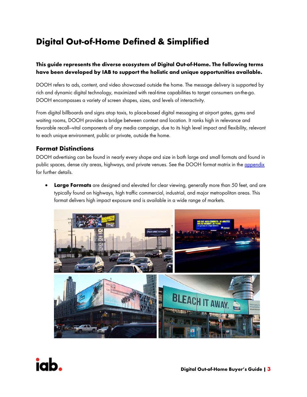## <span id="page-4-0"></span>Digital Out-of-Home Defined & Simplified

#### This guide represents the diverse ecosystem of Digital Out-of-Home. The following terms have been developed by IAB to support the holistic and unique opportunities available.

DOOH refers to ads, content, and video showcased outside the home. The message delivery is supported by rich and dynamic digital technology, maximized with real-time capabilities to target consumers on-the-go. DOOH encompasses a variety of screen shapes, sizes, and levels of interactivity.

From digital billboards and signs atop taxis, to place-based digital messaging at airport gates, gyms and waiting rooms, DOOH provides a bridge between context and location. It ranks high in relevance and favorable recall—vital components of any media campaign, due to its high level impact and flexibility, relevant to each unique environment, public or private, outside the home.

### <span id="page-4-1"></span>Format Distinctions

DOOH advertising can be found in nearly every shape and size in both large and small formats and found in public spaces, dense city areas, highways, and private venues. See the DOOH format matrix in the [appendix](#page-11-1) for further details.

<span id="page-4-2"></span>**Large Formats** are designed and elevated for clear viewing, generally more than 50 feet, and are typically found on highways, high traffic commercial, industrial, and major metropolitan areas. This format delivers high impact exposure and is available in a wide range of markets.



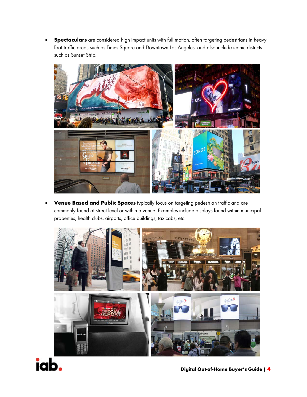<span id="page-5-0"></span>**• Spectaculars** are considered high impact units with full motion, often targeting pedestrians in heavy foot traffic areas such as Times Square and Downtown Los Angeles, and also include iconic districts such as Sunset Strip.



<span id="page-5-1"></span>Venue Based and Public Spaces typically focus on targeting pedestrian traffic and are commonly found at street level or within a venue. Examples include displays found within municipal properties, health clubs, airports, office buildings, taxicabs, etc.



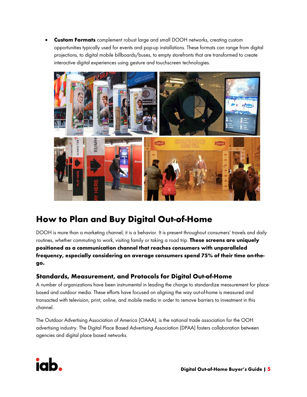<span id="page-6-0"></span>**Custom Formats** complement robust large and small DOOH networks, creating custom opportunities typically used for events and pop-up installations. These formats can range from digital projections, to digital mobile billboards/buses, to empty storefronts that are transformed to create interactive digital experiences using gesture and touchscreen technologies.



## <span id="page-6-1"></span>How to Plan and Buy Digital Out-of-Home

DOOH is more than a marketing channel; it is a behavior. It is present throughout consumers' travels and daily routines, whether commuting to work, visiting family or taking a road trip. These screens are uniquely positioned as a communication channel that reaches consumers with unparalleled frequency, especially considering on average consumers spend 75% of their time on-thego.

## <span id="page-6-2"></span>Standards, Measurement, and Protocols for Digital Out-of-Home

A number of organizations have been instrumental in leading the charge to standardize measurement for placebased and outdoor media. These efforts have focused on aligning the way out-of-home is measured and transacted with television, print, online, and mobile media in order to remove barriers to investment in this channel.

The Outdoor Advertising Association of America (OAAA), is the national trade association for the OOH advertising industry. The Digital Place Based Advertising Association (DPAA) fosters collaboration between agencies and digital place based networks.

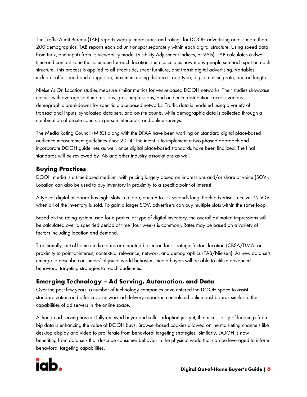The Traffic Audit Bureau (TAB) reports weekly impressions and ratings for DOOH advertising across more than 200 demographics. TAB reports each ad unit or spot separately within each digital structure. Using speed data from Inrix, and inputs from its viewability model (Visibility Adjustment Indices, or VAIs), TAB calculates a dwell time and contact zone that is unique for each location, then calculates how many people see each spot on each structure. This process is applied to all street-side, street furniture, and transit digital advertising. Variables include traffic speed and congestion, maximum noting distance, road type, digital noticing rate, and ad length.

Nielsen's On Location studies measure similar metrics for venue-based DOOH networks. Their studies showcase metrics with average spot impressions, gross impressions, and audience distributions across various demographic breakdowns for specific place-based networks. Traffic data is modeled using a variety of transactional inputs, syndicated data sets, and on-site counts, while demographic data is collected through a combination of on-site counts, in-person intercepts, and online surveys.

The Media Rating Council (MRC) along with the DPAA have been working on standard digital place-based audience measurement guidelines since 2014. The intent is to implement a two-phased approach and incorporate DOOH guidelines as well, once digital place-based standards have been finalized. The final standards will be reviewed by IAB and other industry associations as well.

## <span id="page-7-0"></span>Buying Practices

DOOH media is a time-based medium, with pricing largely based on impressions and/or share of voice (SOV). Location can also be used to buy inventory in proximity to a specific point of interest.

A typical digital billboard has eight slots in a loop, each 8 to 10 seconds long. Each advertiser receives ⅛ SOV when all of the inventory is sold. To gain a larger SOV, advertisers can buy multiple slots within the same loop.

Based on the rating system used for a particular type of digital inventory, the overall estimated impressions will be calculated over a specified period of time (four weeks is common). Rates may be based on a variety of factors including location and demand.

Traditionally, out-of-home media plans are created based on four strategic factors location (CBSA/DMA) or proximity to point-of-interest, contextual relevance, network, and demographics (TAB/Nielsen). As new data sets emerge to describe consumers' physical world behavior, media buyers will be able to utilize advanced behavioral targeting strategies to reach audiences.

## <span id="page-7-1"></span>Emerging Technology – Ad Serving, Automation, and Data

Over the past few years, a number of technology companies have entered the DOOH space to assist standardization and offer cross-network ad delivery reports in centralized online dashboards similar to the capabilities of ad servers in the online space.

Although ad serving has not fully received buyer and seller adoption just yet, the accessibility of learnings from big data is enhancing the value of DOOH buys. Browser-based cookies allowed online marketing channels like desktop display and video to proliferate from behavioral targeting strategies. Similarly, DOOH is now benefiting from data sets that describe consumer behavior in the physical world that can be leveraged to inform behavioral targeting capabilities.

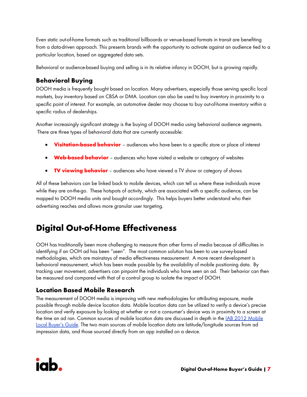Even static out-of-home formats such as traditional billboards or venue-based formats in transit are benefiting from a data-driven approach. This presents brands with the opportunity to activate against an audience tied to a particular location, based on aggregated data sets.

Behavioral or audience-based buying and selling is in its relative infancy in DOOH, but is growing rapidly.

### <span id="page-8-0"></span>Behavioral Buying

DOOH media is frequently bought based on location. Many advertisers, especially those serving specific local markets, buy inventory based on CBSA or DMA. Location can also be used to buy inventory in proximity to a specific point of interest. For example, an automotive dealer may choose to buy out-of-home inventory within a specific radius of dealerships.

Another increasingly significant strategy is the buying of DOOH media using behavioral audience segments. There are three types of behavioral data that are currently accessible:

- Visitation-based behavior audiences who have been to a specific store or place of interest
- **Web-based behavior** audiences who have visited a website or category of websites
- **TV viewing behavior** audiences who have viewed a TV show or category of shows

All of these behaviors can be linked back to mobile devices, which can tell us where these individuals move while they are on-the-go. These hotspots of activity, which are associated with a specific audience, can be mapped to DOOH media units and bought accordingly. This helps buyers better understand who their advertising reaches and allows more granular user targeting.

## <span id="page-8-1"></span>Digital Out-of-Home Effectiveness

OOH has traditionally been more challenging to measure than other forms of media because of difficulties in identifying if an OOH ad has been "seen". The most common solution has been to use survey-based methodologies, which are mainstays of media effectiveness measurement. A more recent development is behavioral measurement, which has been made possible by the availability of mobile positioning data. By tracking user movement, advertisers can pinpoint the individuals who have seen an ad. Their behavior can then be measured and compared with that of a control group to isolate the impact of DOOH.

### <span id="page-8-2"></span>Location Based Mobile Research

The measurement of DOOH media is improving with new methodologies for attributing exposure, made possible through mobile device location data. Mobile location data can be utilized to verify a device's precise location and verify exposure by looking at whether or not a consumer's device was in proximity to a screen at the time an ad ran. Common sources of mobile location data are discussed in depth in the **IAB 2012** Mobile [Local Buyer's Guide.](http://www.iab.com/wp-content/uploads/2015/08/IABMobileLocalBuyersGuide.pdf) The two main sources of mobile location data are latitude/longitude sources from ad impression data, and those sourced directly from an app installed on a device.

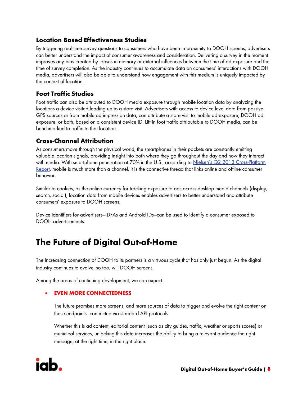### <span id="page-9-0"></span>Location Based Effectiveness Studies

By triggering real-time survey questions to consumers who have been in proximity to DOOH screens, advertisers can better understand the impact of consumer awareness and consideration. Delivering a survey in the moment improves any bias created by lapses in memory or external influences between the time of ad exposure and the time of survey completion. As the industry continues to accumulate data on consumers' interactions with DOOH media, advertisers will also be able to understand how engagement with this medium is uniquely impacted by the context of location.

### <span id="page-9-1"></span>Foot Traffic Studies

Foot traffic can also be attributed to DOOH media exposure through mobile location data by analyzing the locations a device visited leading up to a store visit. Advertisers with access to device level data from passive GPS sources or from mobile ad impression data, can attribute a store visit to mobile ad exposure, DOOH ad exposure, or both, based on a consistent device ID. Lift in foot traffic attributable to DOOH media, can be benchmarked to traffic to that location.

### <span id="page-9-2"></span>Cross-Channel Attribution

As consumers move through the physical world, the smartphones in their pockets are constantly emitting valuable location signals, providing insight into both where they go throughout the day and how they interact with media. With smartphone penetration at 70% in the U.S., according to [Nielsen's Q2 2013](https://urldefense.proofpoint.com/v2/url?u=http-3A__www.nielsen.com_us_en_insights_reports_2013_q2-2D2013-2Dcross-2Dplatform-2Dreport.html&d=CwMF-g&c=GC0NZZhaEw6GOQSjMHI2g15k_drElRoPmOYiK2k0eZ8&r=tTNeMSqus1YGiYjIeTYZJ5dzlTxIAL74USaRHXgIZVU&m=r2smOqQrtiT1eLtVZHsOzZhe6gAT1apCENBSbNqVWc0&s=pXcHizWkFjPai2Mg3uA1MPvU4OIXvr3iUjKBzlT-4R0&e=) Cross-Platform [Report,](https://urldefense.proofpoint.com/v2/url?u=http-3A__www.nielsen.com_us_en_insights_reports_2013_q2-2D2013-2Dcross-2Dplatform-2Dreport.html&d=CwMF-g&c=GC0NZZhaEw6GOQSjMHI2g15k_drElRoPmOYiK2k0eZ8&r=tTNeMSqus1YGiYjIeTYZJ5dzlTxIAL74USaRHXgIZVU&m=r2smOqQrtiT1eLtVZHsOzZhe6gAT1apCENBSbNqVWc0&s=pXcHizWkFjPai2Mg3uA1MPvU4OIXvr3iUjKBzlT-4R0&e=) mobile is much more than a channel, it is the connective thread that links online and offline consumer behavior.

Similar to cookies, as the online currency for tracking exposure to ads across desktop media channels (display, search, social), location data from mobile devices enables advertisers to better understand and attribute consumers' exposure to DOOH screens.

<span id="page-9-3"></span>Device identifiers for advertisers—IDFAs and Android IDs—can be used to identify a consumer exposed to DOOH advertisements.

## The Future of Digital Out-of-Home

The increasing connection of DOOH to its partners is a virtuous cycle that has only just begun. As the digital industry continues to evolve, so too, will DOOH screens.

Among the areas of continuing development, we can expect:

#### **EVEN MORE CONNECTEDNESS**

The future promises more screens, and more sources of data to trigger and evolve the right content on these endpoints—connected via standard API protocols.

Whether this is ad content, editorial content (such as city guides, traffic, weather or sports scores) or municipal services, unlocking this data increases the ability to bring a relevant audience the right message, at the right time, in the right place.

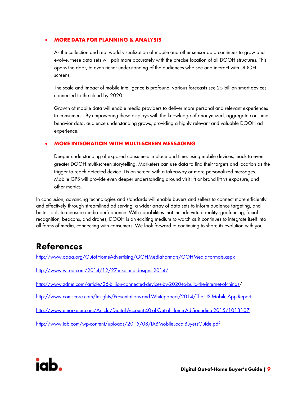#### • MORE DATA FOR PLANNING & ANALYSIS

As the collection and real world visualization of mobile and other sensor data continues to grow and evolve, these data sets will pair more accurately with the precise location of all DOOH structures. This opens the door, to even richer understanding of the audiences who see and interact with DOOH screens.

The scale and impact of mobile intelligence is profound, various forecasts see 25 billion smart devices connected to the cloud by 2020.

Growth of mobile data will enable media providers to deliver more personal and relevant experiences to consumers. By empowering these displays with the knowledge of anonymized, aggregate consumer behavior data, audience understanding grows, providing a highly relevant and valuable DOOH ad experience.

#### • MORE INTEGRATION WITH MULTI-SCREEN MESSAGING

Deeper understanding of exposed consumers in place and time, using mobile devices, leads to even greater DOOH multi-screen storytelling. Marketers can use data to find their targets and location as the trigger to reach detected device IDs on screen with a takeaway or more personalized messages. Mobile GPS will provide even deeper understanding around visit lift or brand lift vs exposure, and other metrics.

In conclusion, advancing technologies and standards will enable buyers and sellers to connect more efficiently and effectively through streamlined ad serving, a wider array of data sets to inform audience targeting, and better tools to measure media performance. With capabilities that include virtual reality, geofencing, facial recognition, beacons, and drones, DOOH is an exciting medium to watch as it continues to integrate itself into all forms of media, connecting with consumers. We look forward to continuing to share its evolution with you.

## <span id="page-10-0"></span>References

<http://www.oaaa.org/OutofHomeAdvertising/OOHMediaFormats/OOHMediaFormats.aspx>

<http://www.wired.com/2014/12/27-inspiring-designs-2014/>

[http://www.zdnet.com/article/25-billion-connected-devices-by-2020-to-build-the-internet-of-things/](http://www.zdnet.com/article/25-billion-connected-devices-by-2020-to-build-the-internet-of-things)

<http://www.comscore.com/Insights/Presentations-and-Whitepapers/2014/The-US-Mobile-App-Report>

<http://www.emarketer.com/Article/Digital-Account-40-of-Out-of-Home-Ad-Spending-2015/1013107>

<http://www.iab.com/wp-content/uploads/2015/08/IABMobileLocalBuyersGuide.pdf>